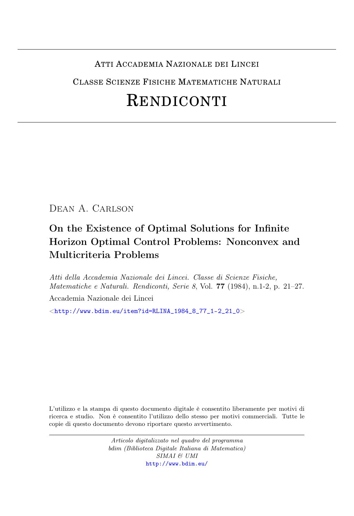### ATTI ACCADEMIA NAZIONALE DEI LINCEI

CLASSE SCIENZE FISICHE MATEMATICHE NATURALI

# RENDICONTI

Dean A. Carlson

## On the Existence of Optimal Solutions for Infinite Horizon Optimal Control Problems: Nonconvex and Multicriteria Problems

Atti della Accademia Nazionale dei Lincei. Classe di Scienze Fisiche, Matematiche e Naturali. Rendiconti, Serie 8, Vol. 77 (1984), n.1-2, p. 21–27. Accademia Nazionale dei Lincei

 $\langle$ [http://www.bdim.eu/item?id=RLINA\\_1984\\_8\\_77\\_1-2\\_21\\_0](http://www.bdim.eu/item?id=RLINA_1984_8_77_1-2_21_0) $>$ 

L'utilizzo e la stampa di questo documento digitale è consentito liberamente per motivi di ricerca e studio. Non è consentito l'utilizzo dello stesso per motivi commerciali. Tutte le copie di questo documento devono riportare questo avvertimento.

> Articolo digitalizzato nel quadro del programma bdim (Biblioteca Digitale Italiana di Matematica) SIMAI & UMI <http://www.bdim.eu/>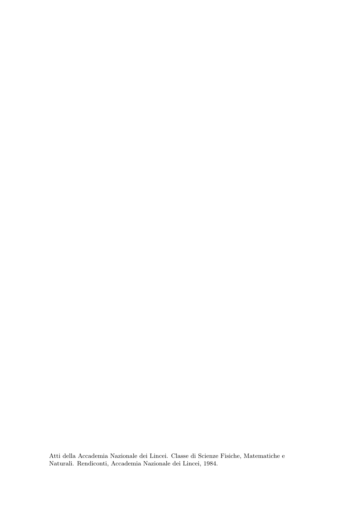Atti della Accademia Nazionale dei Lincei. Classe di Scienze Fisiche, Matematiche e Naturali. Rendiconti, Accademia Nazionale dei Lincei, 1984.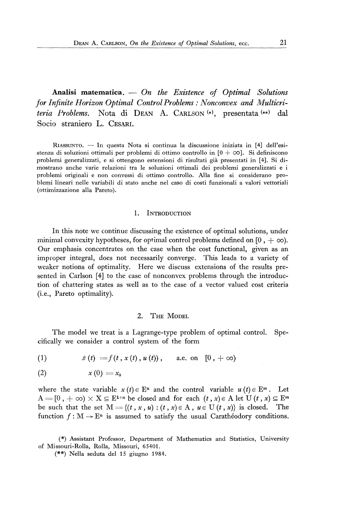**Analisi matematica.** — *On the Existence of Optimal Solutions for Infinite Horizon Optimal Control Problems : Nonconvex and Multicriteria Problems.* Nota di DEAN A. CARLSON<sup>(\*)</sup>, presentata<sup>(\*\*)</sup> dal Socio straniero L. CESARI,

RIASSUNTO. — In questa Nota si continua la discussione iniziata in [4] dell'esistenza di soluzioni ottimali per problemi di ottimo controllo in  $[0 + \infty]$ . Si definiscono problemi generalizzati, e si ottengono estensioni di risultati già presentati in [4]. Si dimostrano anche varie relazioni tra le soluzioni ottimali dei problemi generalizzati e i problemi originali e non convessi di ottimo controllo. Alla fine si considerano problemi lineari nelle variabili di stato anche nel caso di costi funzionali a valori vettoriali (ottimizzazione alla Pareto).

#### 1. INTRODUCTION

In this note we continue discussing the existence of optimal solutions, under minimal convexity hypotheses, for optimal control problems defined on [0,  $+ \infty$ ). Our emphasis concentrates on the case when the cost functional, given as an improper integral, does not necessarily converge. This leads to a variety of weaker notions of optimality. Here we discuss extensions of the results presented in Carlson [4] to the case of nonconvex problems through the introduction of chattering states as well as to the case of a vector valued cost criteria (i.e., Pareto optimality).

#### 2. THE MODEL

The model we treat is a Lagrange-type problem of optimal control. Specifically we consider a control system of the form

(1) 
$$
\dot{x}(t) = f(t, x(t), u(t)), \text{ a.e. on } [0, +\infty)
$$

$$
(2) \t x (0) = x_0
$$

where the state variable  $x(t) \in E^n$  and the control variable  $u(t) \in E^m$ . Let  $A = [0, +\infty) \times X \subseteq E^{1+n}$  be closed and for each  $(t, x) \in A$  let  $U(t, x) \subseteq E^m$ be such that the set  $M = \{(t, x, u) : (t, x) \in A, u \in U(t, x)\}\)$  is closed. The function  $f : M \to E^n$  is assumed to satisfy the usual Carathéodory conditions.

( # ) Assistant Professor, Department of Mathematics and Statistics, University of Missouri-Rolla, Rolla, Missouri, 65401.

(•#) Nella seduta del 15 giugno 1984.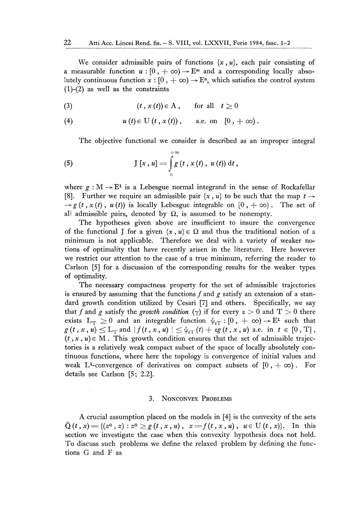We consider admissible pairs of functions  $\{x, u\}$ , each pair consisting of a measurable function  $u : [0, +\infty) \to E^m$  and a corresponding locally absolutely continuous function  $x : [0, +\infty) \to \mathbb{E}^n$ , which satisfies the control system  $(1)-(2)$  as well as the constraints

(3)  $(t, x(t)) \in A$ , for all  $t \ge 0$ 

(4)  $u(t) \in U(t, x(t)),$  a.e. on  $[0, +\infty).$ 

The objective functional we consider is described as an improper integral

(5) 
$$
J[x, u] = \int_{0}^{+\infty} g(t, x(t), u(t)) dt,
$$

where  $g: M \to E^1$  is a Lebesgue normal integrand in the sense of Rockafellar [8]. Further we require an admissible pair  $\{x, u\}$  to be such that the map  $t \rightarrow$  $\rightarrow g(t, x(t), u(t))$  is locally Lebesgue integrable on  $[0, +\infty)$ . The set of all admissible pairs, denoted by  $\Omega$ , is assumed to be nonempty.

The hypotheses given above are insufficient to insure the convergence of the functional J for a given  $\{x, u\} \in \Omega$  and thus the traditional notion of a minimum is not applicable. Therefore we deal with a variety of weaker notions of optima]ity that have recently arisen in the literature. Here however we restrict our attention to the case of a true minimum, referring the reader to Carlson [5] for a discussion of the corresponding results for the weaker types of optimality.

The necessary compactness property for the set of admissible trajectories is ensured by assuming that the functions  $f$  and  $g$  satisfy an extension of a standard growth condition utilized by Cesari [7] and others. Specifically, we say that f and g satisfy the growth condition  $(\gamma)$  if for every  $\varepsilon > 0$  and  $T > 0$  there exists  $L_T \geq 0$  and an integrable function  $\psi_{\epsilon T} : [0, +\infty) \to E^1$  such that  $g(t, x, u) \leq L_T$  and  $|f(t, x, u)| \leq \psi_{\epsilon T}(t) + \epsilon g(t, x, u)$  a.e. in  $t \in [0, T]$ ,  $(t, x, u) \in M$ . This growth condition ensures that the set of admissible trajectories is a relatively weak compact subset of the space of locally absolutely continuous functions, where here the topology is convergence of initial values and weak L<sup>1</sup>-convergence of derivatives on compact subsets of  $[0, +\infty)$ . For details see Carlson [5; 2.2].

#### 3. NONCONVEX PROBLEMS

A crucial assumption placed on the models in [4] is the convexity of the sets  $\tilde{Q}(t, x) = \{(z^0, z) : z^0 \ge g(t, x, u), z = f(t, x, u), u \in U(t, x)\}.$  In this section we investigate the case when this convexity hypothesis does not hold. To discuss such problems we define the relaxed problem by defining the functions G and F as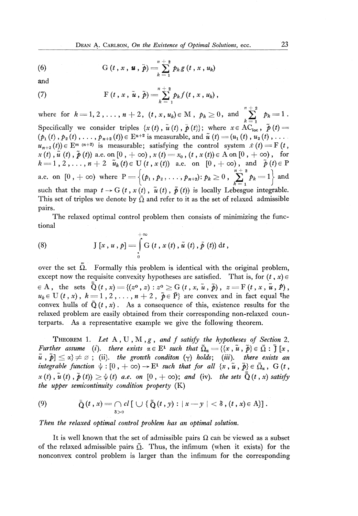(6) G 
$$
(t, x, \boldsymbol{u}, \tilde{p}) = \sum_{k=1}^{n+2} p_k g(t, x, u_k)
$$

and

(7) 
$$
F(t, x, \tilde{u}, \tilde{p}) = \sum_{k=1}^{n+2} p_k f(t, x, u_k),
$$

where for  $k = 1, 2, ..., n + 2, (t, x, u_k) \in M$ ,  $p_k \ge 0$ , and  $\sum_{k=1}^{n} p_k = 1$ . Specifically we consider triples  $\{x(t), u(t), \tilde{p}(t)\}$ ; where  $x \in AC_{loc}$ ,  $\tilde{p}(t)$  =  $(p_1(t), p_2(t), \ldots, p_{n+2}(t)) \in E^{n+2}$  is measurable, and  $\hat{u}(t) = (u_1(t), u_2(t), \ldots)$  $u_{n+2}(t)$   $\in$  E<sup>m</sup> (n+2) is measurable; satisfying the control system  $\dot{x}(t) = F(t, t)$  $x(t), u(t), \tilde{p}(t)$  a.e. on  $[0, +\infty)$ ,  $x(t) = x_0$ ,  $(t, x(t)) \in A$  on  $[0, +\infty)$ , for  $k = 1, 2, ..., n + 2 \tilde{u}_k(t) \in U(t, x(t))$  a.e. on  $[0, +\infty)$ , and  $\tilde{p}(t) \in P$ a.e. on  $[0, +\infty)$  where  $P = \{(p_1, p_2, \ldots, p_{n+2}) : p_k \ge 0, \sum_{k=1}^{n+2} p_k = 1\}$  and such that the map  $t \to G(t, x(t), \tilde{u}(t), \tilde{p}(t))$  is locally Lebesgue integrable. This set of triples we denote by  $\tilde{\Omega}$  and refer to it as the set of relaxed admissible pairs.

The relaxed optimal control problem then consists of minimizing the functional

(8) 
$$
J[x, u, p] = \int_{0}^{+\infty} G(t, x(t), \tilde{u}(t), \tilde{p}(t)) dt,
$$

over the set  $\Omega$ . Formally this problem is identical with the original problem, except now the requisite convexity hypotheses are satisfied. That is, for  $(t, x) \in$  $P \in A$ , the sets  $\tilde{Q}(t, x) = \{(z^0, z) : z^0 \ge G(t, x, \tilde{u}, \tilde{p}), z = F(t, x, \tilde{u}, p), z = 0\}$  $u_k \in U(t, x)$ ,  $k = 1, 2, \ldots, n + 2$ ,  $\tilde{p} \in \tilde{P}$  are convex and in fact equal the convex hulls of  $\tilde{Q}(t, x)$ . As a consequence of this, existence results for the relaxed problem are easily obtained from their corresponding non-relaxed counterparts. As a representative example we give the following theorem.

THEOREM 1. *Let* A , U , M *yg , and f satisfy the hypotheses of Section* 2. *Further assume* (*i*). there exists  $\alpha \in E^1$  such that  $\tilde{\Omega}_{\alpha} = \{\{x, \tilde{u}, \tilde{p}\} \in \tilde{\Omega} : \tilde{J}[x, \tilde{y}], \tilde{y}\}$  $\tilde{u}$ ,  $\tilde{p}$  $\leq \alpha$ }  $\neq \varnothing$ ; (ii). the growth conditon  $(\gamma)$  holds; (iii). there exists an integrable function  $\psi : [0, +\infty) \to \mathbb{E}^1$  such that for all  $\{x, \tilde{u}, \tilde{p}\} \in \tilde{\Omega}_\alpha$ , G  $(t,$  $x(t)$ ,  $\tilde{u}(t)$ ,  $\tilde{p}(t)$ )  $\geq \psi(t)$  a.e. on  $[0, +\infty)$ ; and (iv). the sets  $\tilde{Q}(t, x)$  satisfy *the upper semicontinuity condition property* (K)

(9) 
$$
\tilde{Q}(t,x) = \bigcap_{\delta>0} cl \left[ \bigcup \{ \tilde{Q}(t,y) : |x-y| < \delta, (t,x) \in A \} \right].
$$

*Then the relaxed optimal control problem has an optimal solution.* 

It is well known that the set of admissible pairs  $\Omega$  can be viewed as a subset of the relaxed admissible pairs  $\tilde{\Omega}$ . Thus, the infimum (when it exists) for the nonconvex control problem is larger than the infimum for the corresponding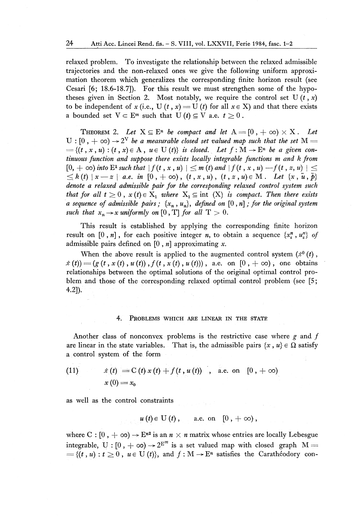relaxed problem. To investigate the relationship between the relaxed admissible trajectories and the non-relaxed ones we give the following uniform approximation theorem which generalizes the corresponding finite horizon result (see Cesari [6; 18.6-18.7]). For this result we must strengthen some of the hypotheses given in Section 2. Most notably, we require the control set U $(t, x)$ to be independent of x (i.e., U  $(t, x) = U(t)$  for all  $x \in X$ ) and that there exists a bounded set  $V \subset E^m$  such that  $U(t) \subseteq V$  a.e.  $t \geq 0$ .

**THEOREM 2.** Let  $X \subseteq E^n$  be compact and let  $A = [0, +\infty) \times X$ . Let  $U:[0\,,+\infty)\to 2^V$  be a measurable closed set valued map such that the set  $M=0$  $=\{(t, x, u): (t, x) \in A, u \in U(t)\}\$ is closed. Let  $f: M \to E^n$  be a given con*tinuous function and suppose there exists locally integrable functions m and k from*   $\leq$  [0,  $+$   $\infty$ ) into  $\mathrm{E}^1$  such that  $\left|f(t,x, u)\right| \leq m$  (t) and  $\left|f(t, x, u)-f(t, z, u)\right| \leq$  $\leq k(t) | x - z | a.e.$  in  $[0, +\infty)$ ,  $(t, x, u)$ ,  $(t, z, u) \in M$ . Let  $\{x, \tilde{u}, \tilde{p}\}$ *denote a relaxed admissible pair for the corresponding relaxed control system such that for all t*  $\geq 0$ ,  $x(t) \in X_1$  where  $X_1 \subseteq int(X)$  is compact. Then there exists *a* sequence of admissible pairs;  $\{x_n, u_n\}$ , defined on  $[0, n]$ ; for the original system *such that*  $x_n \to x$  *uniformly on* [0, T] *for all*  $T > 0$ *.* 

This result is established by applying the corresponding finite horizon result on [0, n], for each positive integer *n*, to obtain a sequence  $\{x_*^n, u_*^m\}$  of admissible pairs defined on [0 , *n]* approximating *x.* 

When the above result is applied to the augmented control system  $(x^0(t)$ ,  $x(t) = (g(t, x(t), u(t)), f(t, x(t), u(t))),$  a.e. on  $[0, +\infty)$ , one obtains relationships between the optimal solutions of the original optimal control problem and those of the corresponding relaxed optimal control problem (see [5; 4.2]).

#### 4. PROBLEMS WHICH ARE LINEAR IN THE STATE

Another class of nonconvex problems is the restrictive case where  $g$  and  $f$ are linear in the state variables. That is, the admissible pairs  $\{x, u\} \in \Omega$  satisfy a control system of the form

(11) 
$$
x(t) = C(t) x(t) + f(t, u(t))
$$
, a.e. on [0, + $\infty$ )  

$$
x(0) = x_0
$$

as well as the control constraints

$$
u(t) \in U(t), \quad \text{a.e. on} \quad [0, +\infty),
$$

where C :  $[0, +\infty) \rightarrow E^{n^2}$  is an  $n \times n$  matrix whose entries are locally Lebesgue integrable, U :  $[0, +\infty) \rightarrow 2^{E^m}$  is a set valued map with closed graph  $M =$  $=\{(t, u): t \geq 0, u \in U(t)\},\$  and  $f: M \to E^n$  satisfies the Carathéodory con-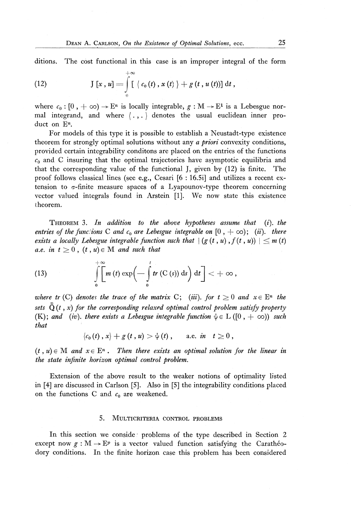ditions. The cost functional in this case is an improper integral of the form

(12) 
$$
\mathrm{J}\ [x\ ,\ u]=\int\limits_{0}^{+\infty}\left[\ \ c_{0}\left(t\right),\ x\left(t\right)\ \right]+g\left(t\ ,\ u\left(t\right)\right)\right]\mathrm{d}t\ ,
$$

where  $c_0: [0, +\infty) \to \mathbb{E}^n$  is locally integrable,  $g: M \to \mathbb{E}^1$  is a Lebesgue normal integrand, and where (. , . ) denotes the usual euclidean inner product on E<sup>n</sup>.

For models of this type it is possible to establish a Neustadt-type existence theorem for strongly optimal solutions without any *a priori* convexity conditions, provided certain integrability conditons are placed on the entries of the functions  $c<sub>0</sub>$  and C insuring that the optimal trajectories have asymptotic equilibria and that the corresponding value of the functional J, given by (12) is finite. The proof follows classical lines (see e.g., Cesari [6 : 16.5i] and utilizes a recent extension to  $\sigma$ -finite measure spaces of a Lyapounov-type theorem concerning vector valued integrals found in Arstein [1]. We now state this existence theorem.

THEOREM 3. *In addition to the above hypotheses assume that (i). the entries of the functions* C *and*  $c_0$  *are Lebesgue integrable on*  $[0, +\infty)$ ; *(ii). there exists a locally Lebesgue integrable function such that*  $\mid (g(t, u), f(t, u)) \mid \leq m(t)$ *a.e.* in  $t \geq 0$ ,  $(t, u) \in M$  and such that

(13) 
$$
\int\limits_{0}^{+\infty} \left[\int\limits_{0}^{+\infty} m(t) \exp\left(-\int\limits_{0}^{t} tr(C(s)) ds\right) dt\right] < +\infty,
$$

*where tr* (C) denotes the trace of the matrix C; (iii). for  $t \geq 0$  and  $x \in E^n$  the sets  $\tilde{\mathbb{Q}}(t, x)$  for the corresponding relaxed optimal control problem satisfy property (K); and (iv). there exists a Lebesgue integrable function  $\psi \in L([0, + \infty))$  such *that* 

$$
\left\langle c_{0}\left(t\right),x\right\rangle +g\left(t\,,u\right) >\psi\left(t\right),\qquad\text{a.e. $\dot{m}\quad t\geq0$}\,,
$$

 $(t, u) \in M$  and  $x \in E^n$ . Then there exists an optimal solution for the linear in *the state infinite horizon optimal control problem.* 

Extension of the above result to the weaker notions of optimality listed in [4] are discussed in Carlson [5]. Also in [5] the integrability conditions placed on the functions C and *c0 are* weakened.

#### 5. MULTICRITERIA CONTROL PROBLEMS

In this section we conside: problems of the type described in Section 2 except now  $g : M \to E^p$  is a vector valued function satisfying the Carathéodory conditions. In the finite horizon case this problem has been considered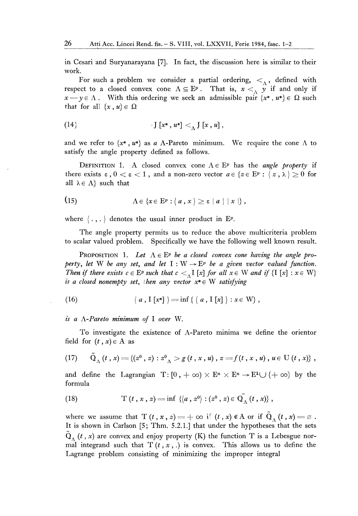in Cesari and Suryanarayana [7]. In fact, the discussion here is similar to their work.

For such a problem we consider a partial ordering,  $\lt_{\Lambda}$ , defined with respect to a closed convex cone  $\Lambda \subseteq E^p$ . That is,  $x < \Lambda$  *y* if and only if  $x - y \in \Lambda$ . With this ordering we seek an admissible pair  $\{x^*, u^*\} \in \Omega$  such that for all  $\{x, u\} \in \Omega$ 

(14) 
$$
\int [x^*, u^*] < \int [x, u],
$$

and we refer to  $\{x^*, u^*\}$  as a  $\Lambda$ -Pareto minimum. We require the cone  $\Lambda$  to satisfy the angle property defined as follows.

DEFINITION 1. A closed convex cone  $\Lambda \in E^p$  has the *angle property* if there exists  $\varepsilon$ ,  $0 < \varepsilon < 1$ , and a non-zero vector  $a \in \{z \in E^p : \langle z, \lambda \rangle \ge 0 \text{ for } z \in E^p \}$ all  $\lambda \in \Lambda$  such that

(15) 
$$
\Lambda \in \{x \in \mathbb{E}^p : \langle a, x \rangle \geq \varepsilon |a| |x| \},
$$

where  $\langle \cdot, \cdot \rangle$  denotes the usual inner product in E<sup>p</sup>.

The angle property permits us to reduce the above multicriteria problem to scalar valued problem. Specifically we have the following well known result.

PROPOSITION 1. Let  $\Lambda \in E^p$  be a closed convex cone having the angle pro*perty, let* W *be any set, and let*  $I : W \rightarrow E^p$  *be a given vector valued function. Then if there exists*  $c \in E^p$  *such that*  $c < \Lambda$  *[x] for all*  $x \in W$  *and if*  $\{I [x] : x \in W\}$ *is a closed nonempty set, then any vector x\* e* W *satisfying* 

(16) 
$$
\langle a, I[x^*]\rangle = \inf \{ \langle a, I[x]\rangle : x \in W \},
$$

*is a A-Pareto minimum of* I *over* W.

To investigate the existence of  $\Lambda$ -Pareto minima we define the orientor field for  $(t, x) \in A$  as

(17) 
$$
\tilde{Q}_{\Lambda}(t, x) = \{(z^0, z) : z^0_{\Lambda} > g(t, x, u), z = f(t, x, u), u \in U(t, x)\},
$$

and define the Lagrangian  $T: [0, +\infty) \times E^n \times E^n \to E^1 \cup \{ +\infty \}$  by the formula

(18) 
$$
T(t, x, z) = \inf \{ \langle a, z^0 \rangle : (z^0, z) \in Q_A^T(t, x) \},
$$

where we assume that  $T(t, x, z) = +\infty$  if  $(t, x) \notin A$  or if  $Q_{\Lambda}(t, x) = \emptyset$ . It is shown in Carlson [5; Thm. 5.2.1.] that under the hypotheses that the sets  $Q_{\Lambda}$  (*t*, *x*) are convex and enjoy property (K) the function T is a Lebesgue normal integrand such that  $T(t, x, .)$  is convex. This allows us to define the Lagrange problem consisting of minimizing the improper integral